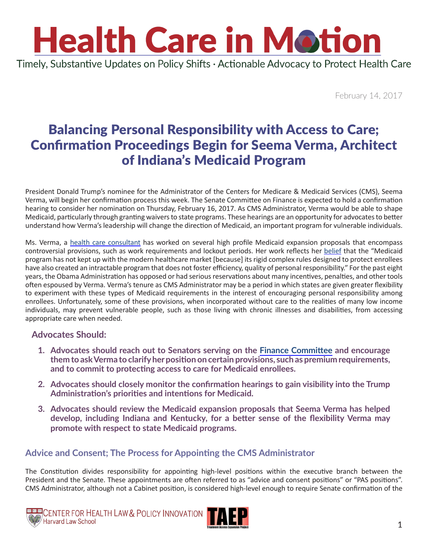### **Health Care in Motion** Timely, Substantive Updates on Policy Shifts · Actionable Advocacy to Protect Health Care

February 14, 2017

### Balancing Personal Responsibility with Access to Care; Confirmation Proceedings Begin for Seema Verma, Architect of Indiana's Medicaid Program

President Donald Trump's nominee for the Administrator of the Centers for Medicare & Medicaid Services (CMS), Seema Verma, will begin her confirmation process this week. The Senate Committee on Finance is expected to hold a confirmation hearing to consider her nomination on Thursday, February 16, 2017. As CMS Administrator, Verma would be able to shape Medicaid, particularly through granting waivers to state programs. These hearings are an opportunity for advocates to better understand how Verma's leadership will change the direction of Medicaid, an important program for vulnerable individuals.

Ms. Verma, a [health care consultant](http://www.svcinc.org/our-team.html?view=employee) has worked on several high profile Medicaid expansion proposals that encompass controversial provisions, such as work requirements and lockout periods. Her work reflects her [belief](http://docs.house.gov/meetings/IF/IF14/20130612/100959/HHRG-113-IF14-Wstate-VermaS-20130612-U2.pdf) that the "Medicaid program has not kept up with the modern healthcare market [because] its rigid complex rules designed to protect enrollees have also created an intractable program that does not foster efficiency, quality of personal responsibility." For the past eight years, the Obama Administration has opposed or had serious reservations about many incentives, penalties, and other tools often espoused by Verma. Verma's tenure as CMS Administrator may be a period in which states are given greater flexibility to experiment with these types of Medicaid requirements in the interest of encouraging personal responsibility among enrollees. Unfortunately, some of these provisions, when incorporated without care to the realities of many low income individuals, may prevent vulnerable people, such as those living with chronic illnesses and disabilities, from accessing appropriate care when needed.

#### **Advocates Should:**

- **1. Advocates should reach out to Senators serving on the [Finance Committee](https://www.finance.senate.gov/about/membership) and encourage them to ask Verma to clarify her position on certain provisions, such as premium requirements, and to commit to protecting access to care for Medicaid enrollees.**
- **2. Advocates should closely monitor the confirmation hearings to gain visibility into the Trump Administration's priorities and intentions for Medicaid.**
- **3. Advocates should review the Medicaid expansion proposals that Seema Verma has helped develop, including Indiana and Kentucky, for a better sense of the flexibility Verma may promote with respect to state Medicaid programs.**

### **Advice and Consent; The Process for Appointing the CMS Administrator**

The Constitution divides responsibility for appointing high-level positions within the executive branch between the President and the Senate. These appointments are often referred to as "advice and consent positions" or "PAS positions". CMS Administrator, although not a Cabinet position, is considered high-level enough to require Senate confirmation of the



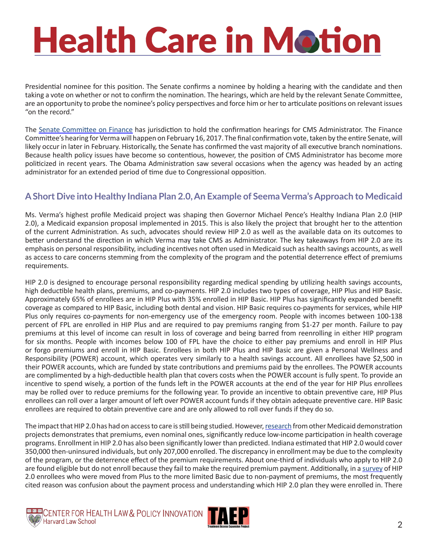# **Health Care in Motion**

Presidential nominee for this position. The Senate confirms a nominee by holding a hearing with the candidate and then taking a vote on whether or not to confirm the nomination. The hearings, which are held by the relevant Senate Committee, are an opportunity to probe the nominee's policy perspectives and force him or her to articulate positions on relevant issues "on the record."

The [Senate Committee on Finance](https://www.finance.senate.gov/about/membership) has jurisdiction to hold the confirmation hearings for CMS Administrator. The Finance Committee's hearing for Verma will happen on February 16, 2017. The final confirmation vote, taken by the entire Senate, will likely occur in later in February. Historically, the Senate has confirmed the vast majority of all executive branch nominations. Because health policy issues have become so contentious, however, the position of CMS Administrator has become more politicized in recent years. The Obama Administration saw several occasions when the agency was headed by an acting administrator for an extended period of time due to Congressional opposition.

### **A Short Dive into Healthy Indiana Plan 2.0, An Example of Seema Verma's Approach to Medicaid**

Ms. Verma's highest profile Medicaid project was shaping then Governor Michael Pence's Healthy Indiana Plan 2.0 (HIP 2.0), a Medicaid expansion proposal implemented in 2015. This is also likely the project that brought her to the attention of the current Administration. As such, advocates should review HIP 2.0 as well as the available data on its outcomes to better understand the direction in which Verma may take CMS as Administrator. The key takeaways from HIP 2.0 are its emphasis on personal responsibility, including incentives not often used in Medicaid such as health savings accounts, as well as access to care concerns stemming from the complexity of the program and the potential deterrence effect of premiums requirements.

HIP 2.0 is designed to encourage personal responsibility regarding medical spending by utilizing health savings accounts, high deductible health plans, premiums, and co-payments. HIP 2.0 includes two types of coverage, HIP Plus and HIP Basic. Approximately 65% of enrollees are in HIP Plus with 35% enrolled in HIP Basic. HIP Plus has significantly expanded benefit coverage as compared to HIP Basic, including both dental and vision. HIP Basic requires co-payments for services, while HIP Plus only requires co-payments for non-emergency use of the emergency room. People with incomes between 100-138 percent of FPL are enrolled in HIP Plus and are required to pay premiums ranging from \$1-27 per month. Failure to pay premiums at this level of income can result in loss of coverage and being barred from reenrolling in either HIP program for six months. People with incomes below 100 of FPL have the choice to either pay premiums and enroll in HIP Plus or forgo premiums and enroll in HIP Basic. Enrollees in both HIP Plus and HIP Basic are given a Personal Wellness and Responsibility (POWER) account, which operates very similarly to a health savings account. All enrollees have \$2,500 in their POWER accounts, which are funded by state contributions and premiums paid by the enrollees. The POWER accounts are complimented by a high-deductible health plan that covers costs when the POWER account is fully spent. To provide an incentive to spend wisely, a portion of the funds left in the POWER accounts at the end of the year for HIP Plus enrollees may be rolled over to reduce premiums for the following year. To provide an incentive to obtain preventive care, HIP Plus enrollees can roll over a larger amount of left over POWER account funds if they obtain adequate preventive care. HIP Basic enrollees are required to obtain preventive care and are only allowed to roll over funds if they do so.

The impact that HIP 2.0 has had on access to care is still being studied. However, [research](https://kaiserfamilyfoundation.files.wordpress.com/2013/02/8416.pdf) from other Medicaid demonstration projects demonstrates that premiums, even nominal ones, significantly reduce low-income participation in health coverage programs. Enrollment in HIP 2.0 has also been significantly lower than predicted. Indiana estimated that HIP 2.0 would cover 350,000 then-uninsured individuals, but only 207,000 enrolled. The discrepancy in enrollment may be due to the complexity of the program, or the deterrence effect of the premium requirements. About one-third of individuals who apply to HIP 2.0 are found eligible but do not enroll because they fail to make the required premium payment. Additionally, in a survey of HIP 2.0 enrollees who were moved from Plus to the more limited Basic due to non-payment of premiums, the most frequently cited reason was confusion about the payment process and understanding which HIP 2.0 plan they were enrolled in. There



CENTER FOR HEALTH LAW & POLICY INNOVATION

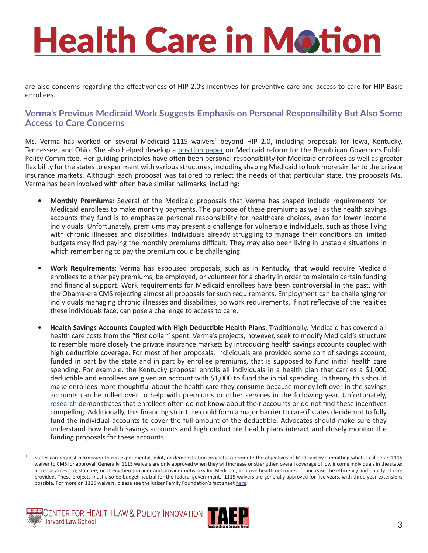## **Health Care in Motion**

are also concerns regarding the effectiveness of HIP 2.0's incentives for preventive care and access to care for HIP Basic enrollees.

#### **Verma's Previous Medicaid Work Suggests Emphasis on Personal Responsibility But Also Some Access to Care Concerns**

Ms. Verma has worked on several Medicaid 1115 waivers<sup>1</sup> beyond HIP 2.0, including proposals for Iowa, Kentucky, Tennessee, and Ohio. She also helped develop a [position paper](http://www.finance.senate.gov/imo/media/doc/RGPPC Medicaid Report.pdf) on Medicaid reform for the Republican Governors Public Policy Committee. Her guiding principles have often been personal responsibility for Medicaid enrollees as well as greater flexibility for the states to experiment with various structures, including shaping Medicaid to look more similar to the private insurance markets. Although each proposal was tailored to reflect the needs of that particular state, the proposals Ms. Verma has been involved with often have similar hallmarks, including:

- **• Monthly Premiums:** Several of the Medicaid proposals that Verma has shaped include requirements for Medicaid enrollees to make monthly payments. The purpose of these premiums as well as the health savings accounts they fund is to emphasize personal responsibility for healthcare choices, even for lower income individuals. Unfortunately, premiums may present a challenge for vulnerable individuals, such as those living with chronic illnesses and disabilities. Individuals already struggling to manage their conditions on limited budgets may find paying the monthly premiums difficult. They may also been living in unstable situations in which remembering to pay the premium could be challenging.
- **• Work Requirements**: Verma has espoused proposals, such as in Kentucky, that would require Medicaid enrollees to either pay premiums, be employed, or volunteer for a charity in order to maintain certain funding and financial support. Work requirements for Medicaid enrollees have been controversial in the past, with the Obama-era CMS rejecting almost all proposals for such requirements. Employment can be challenging for individuals managing chronic illnesses and disabilities, so work requirements, if not reflective of the realities these individuals face, can pose a challenge to access to care.
- **• Health Savings Accounts Coupled with High Deductible Health Plans**: Traditionally, Medicaid has covered all health care costs from the "first dollar" spent. Verma's projects, however, seek to modify Medicaid's structure to resemble more closely the private insurance markets by introducing health savings accounts coupled with high deductible coverage. For most of her proposals, individuals are provided some sort of savings account, funded in part by the state and in part by enrollee premiums, that is supposed to fund initial health care spending. For example, the Kentucky proposal enrolls all individuals in a health plan that carries a \$1,000 deductible and enrollees are given an account with \$1,000 to fund the initial spending. In theory, this should make enrollees more thoughtful about the health care they consume because money left over in the savings accounts can be rolled over to help with premiums or other services in the following year. Unfortunately, [research](http://www.cbpp.org/research/health/indiana-medicaid-waiver-evaluation-shows-why-kentuckys-medicaid-proposal-shouldnt-be#_ftn14) demonstrates that enrollees often do not know about their accounts or do not find these incentives compelling. Additionally, this financing structure could form a major barrier to care if states decide not to fully fund the individual accounts to cover the full amount of the deductible. Advocates should make sure they understand how health savings accounts and high deductible health plans interact and closely monitor the funding proposals for these accounts.

<sup>1</sup> States can request permission to run experimental, pilot, or demonstration projects to promote the objectives of Medicaid by submitting what is called an 1115 waiver to CMS for approval. Generally, 1115 waivers are only approved when they will increase or strengthen overall coverage of low income individuals in the state; increase access to, stabilize, or strengthen provider and provider networks for Medicaid; improve health outcomes; or increase the efficiency and quality of care provided. These projects must also be budget neutral for the federal government. 1115 waivers are generally approved for five years, with three year extensions possible. For more on 1115 waivers, please see the Kaiser Family Foundation's fact sheet [here](https://kaiserfamilyfoundation.files.wordpress.com/2013/01/8196.pdf).